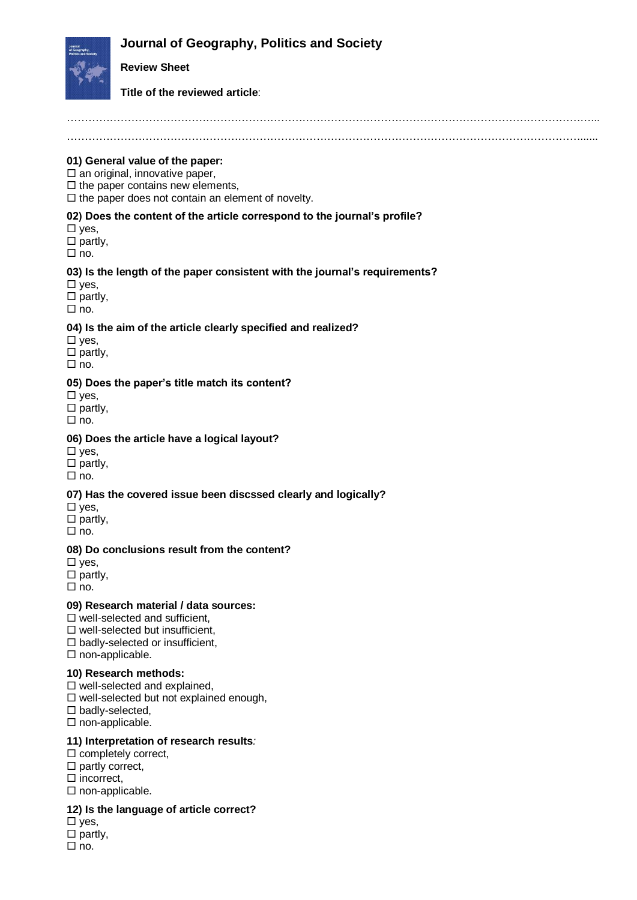# **Journal of Geography, Politics and Society**



# **Review Sheet**

### **Title of the reviewed article**:

………………………………………………………………………………………………………………………………......

### **01) General value of the paper:**

 $\square$  an original, innovative paper,

 $\Box$  the paper contains new elements.

 $\Box$  the paper does not contain an element of novelty.

### **02) Does the content of the article correspond to the journal's profile?**

 $\square$  yes,

 $\Box$  partly,

 $\Box$  no.

#### **03) Is the length of the paper consistent with the journal's requirements?**

 $\square$  yes,

 $\square$  partly,

 $\Box$  no.

### **04) Is the aim of the article clearly specified and realized?**

 $\square$  yes,

 $\Box$  partly,

 $\Box$  no.

### **05) Does the paper's title match its content?**

 $\square$  yes,

 $\square$  partly,  $\Box$  no.

# **06) Does the article have a logical layout?**

 $\square$  yes,  $\square$  partly,

 $\Box$  no.

# **07) Has the covered issue been discssed clearly and logically?**

 $\square$  yes,

 $\square$  partly,

 $\Box$  no.

#### **08) Do conclusions result from the content?**

 $\square$  yes,

 $\square$  partly,

 $\Box$  no.

#### **09) Research material / data sources:**

 $\square$  well-selected and sufficient.

 $\square$  well-selected but insufficient.

 $\square$  badly-selected or insufficient,

 $\square$  non-applicable.

# **10) Research methods:**

 $\square$  well-selected and explained.

 $\square$  well-selected but not explained enough,

 $\square$  badly-selected,

 $\Box$  non-applicable.

# **11) Interpretation of research results***:*

 $\square$  completely correct,

 $\Box$  partly correct,

 $\square$  incorrect,

 $\Box$  non-applicable.

# **12) Is the language of article correct?**

 $\square$  yes,

 $\square$  partly.

 $\Box$  no.